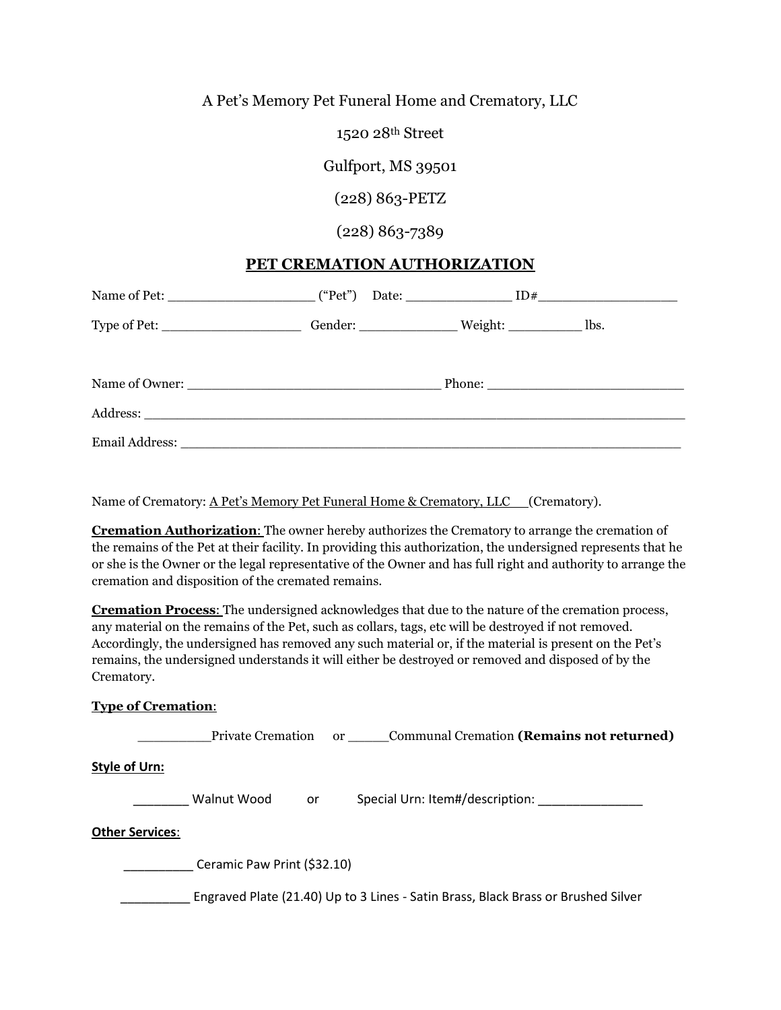## A Pet's Memory Pet Funeral Home and Crematory, LLC

1520 28th Street

Gulfport, MS 39501

(228) 863-PETZ

(228) 863-7389

## **PET CREMATION AUTHORIZATION**

| Name of Pet: $[$ ("Pet") Date: $[$ ID#                                                         |  |  |  |
|------------------------------------------------------------------------------------------------|--|--|--|
| Type of Pet: ___________________________Gender: ___________________Weight: _______________lbs. |  |  |  |
|                                                                                                |  |  |  |
|                                                                                                |  |  |  |
|                                                                                                |  |  |  |

Name of Crematory: A Pet's Memory Pet Funeral Home & Crematory, LLC (Crematory).

**Cremation Authorization**: The owner hereby authorizes the Crematory to arrange the cremation of the remains of the Pet at their facility. In providing this authorization, the undersigned represents that he or she is the Owner or the legal representative of the Owner and has full right and authority to arrange the cremation and disposition of the cremated remains.

**Cremation Process**: The undersigned acknowledges that due to the nature of the cremation process, any material on the remains of the Pet, such as collars, tags, etc will be destroyed if not removed. Accordingly, the undersigned has removed any such material or, if the material is present on the Pet's remains, the undersigned understands it will either be destroyed or removed and disposed of by the Crematory.

| <b>Type of Cremation:</b> |
|---------------------------|
|---------------------------|

\_\_\_\_\_\_\_\_\_Private Cremation or \_\_\_\_\_Communal Cremation **(Remains not returned)**

**Style of Urn:** 

Walnut Wood or Special Urn: Item#/description:

## **Other Services**:

Ceramic Paw Print (\$32.10)

\_\_\_\_\_\_\_\_\_\_ Engraved Plate (21.40) Up to 3 Lines - Satin Brass, Black Brass or Brushed Silver